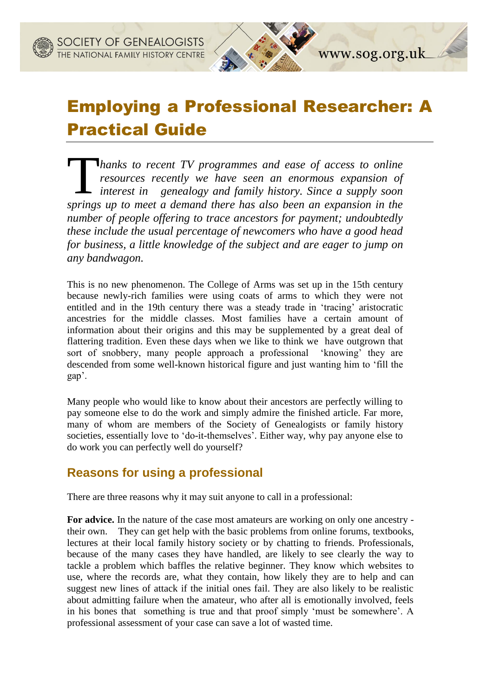# Employing a Professional Researcher: A Practical Guide

www.sog.org.uk

*hanks to recent TV programmes and ease of access to online resources recently we have seen an enormous expansion of interest in genealogy and family history. Since a supply soon*  **Follow Thanks to recent TV programmes and ease of access to online**<br>resources recently we have seen an enormous expansion of<br>interest in genealogy and family history. Since a supply soon<br>springs up to meet a demand there *number of people offering to trace ancestors for payment; undoubtedly these include the usual percentage of newcomers who have a good head for business, a little knowledge of the subject and are eager to jump on any bandwagon.*

This is no new phenomenon. The College of Arms was set up in the 15th century because newly-rich families were using coats of arms to which they were not entitled and in the 19th century there was a steady trade in 'tracing' aristocratic ancestries for the middle classes. Most families have a certain amount of information about their origins and this may be supplemented by a great deal of flattering tradition. Even these days when we like to think we have outgrown that sort of snobbery, many people approach a professional 'knowing' they are descended from some well-known historical figure and just wanting him to 'fill the gap'.

Many people who would like to know about their ancestors are perfectly willing to pay someone else to do the work and simply admire the finished article. Far more, many of whom are members of the Society of Genealogists or family history societies, essentially love to 'do-it-themselves'. Either way, why pay anyone else to do work you can perfectly well do yourself?

#### **Reasons for using a professional**

There are three reasons why it may suit anyone to call in a professional:

**For advice.** In the nature of the case most amateurs are working on only one ancestry their own. They can get help with the basic problems from online forums, textbooks, lectures at their local family history society or by chatting to friends. Professionals, because of the many cases they have handled, are likely to see clearly the way to tackle a problem which baffles the relative beginner. They know which websites to use, where the records are, what they contain, how likely they are to help and can suggest new lines of attack if the initial ones fail. They are also likely to be realistic about admitting failure when the amateur, who after all is emotionally involved, feels in his bones that something is true and that proof simply 'must be somewhere'. A professional assessment of your case can save a lot of wasted time.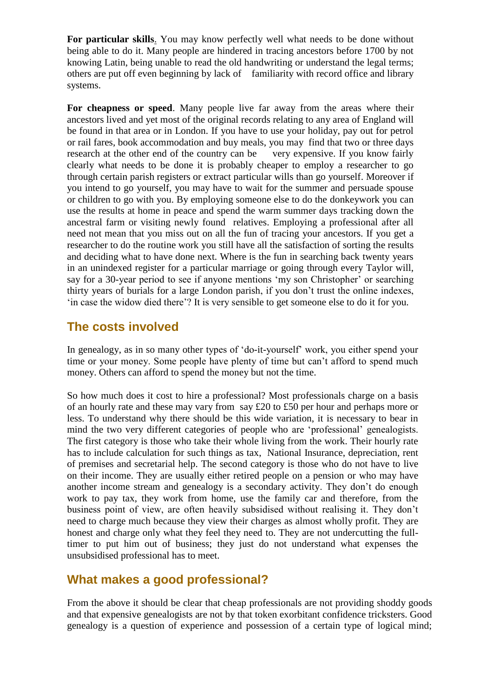**For particular skills**. You may know perfectly well what needs to be done without being able to do it. Many people are hindered in tracing ancestors before 1700 by not knowing Latin, being unable to read the old handwriting or understand the legal terms; others are put off even beginning by lack of familiarity with record office and library systems.

**For cheapness or speed**. Many people live far away from the areas where their ancestors lived and yet most of the original records relating to any area of England will be found in that area or in London. If you have to use your holiday, pay out for petrol or rail fares, book accommodation and buy meals, you may find that two or three days research at the other end of the country can be very expensive. If you know fairly clearly what needs to be done it is probably cheaper to employ a researcher to go through certain parish registers or extract particular wills than go yourself. Moreover if you intend to go yourself, you may have to wait for the summer and persuade spouse or children to go with you. By employing someone else to do the donkeywork you can use the results at home in peace and spend the warm summer days tracking down the ancestral farm or visiting newly found relatives. Employing a professional after all need not mean that you miss out on all the fun of tracing your ancestors. If you get a researcher to do the routine work you still have all the satisfaction of sorting the results and deciding what to have done next. Where is the fun in searching back twenty years in an unindexed register for a particular marriage or going through every Taylor will, say for a 30-year period to see if anyone mentions 'my son Christopher' or searching thirty years of burials for a large London parish, if you don't trust the online indexes, 'in case the widow died there'? It is very sensible to get someone else to do it for you.

#### **The costs involved**

In genealogy, as in so many other types of 'do-it-yourself' work, you either spend your time or your money. Some people have plenty of time but can't afford to spend much money. Others can afford to spend the money but not the time.

So how much does it cost to hire a professional? Most professionals charge on a basis of an hourly rate and these may vary from say £20 to £50 per hour and perhaps more or less. To understand why there should be this wide variation, it is necessary to bear in mind the two very different categories of people who are 'professional' genealogists. The first category is those who take their whole living from the work. Their hourly rate has to include calculation for such things as tax, National Insurance, depreciation, rent of premises and secretarial help. The second category is those who do not have to live on their income. They are usually either retired people on a pension or who may have another income stream and genealogy is a secondary activity. They don't do enough work to pay tax, they work from home, use the family car and therefore, from the business point of view, are often heavily subsidised without realising it. They don't need to charge much because they view their charges as almost wholly profit. They are honest and charge only what they feel they need to. They are not undercutting the fulltimer to put him out of business; they just do not understand what expenses the unsubsidised professional has to meet.

## **What makes a good professional?**

From the above it should be clear that cheap professionals are not providing shoddy goods and that expensive genealogists are not by that token exorbitant confidence tricksters. Good genealogy is a question of experience and possession of a certain type of logical mind;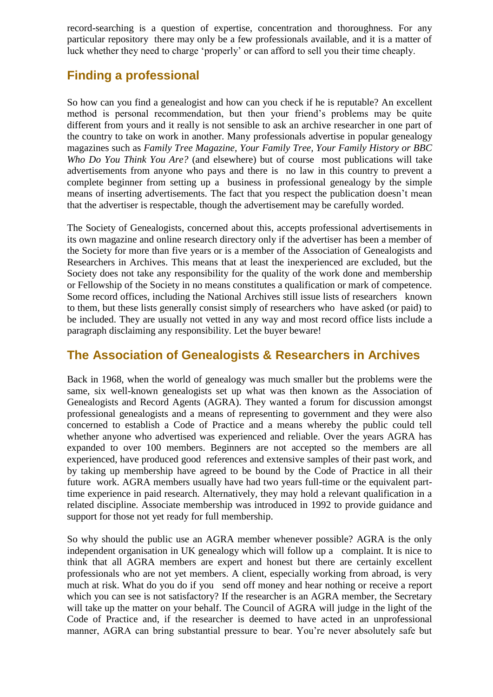record-searching is a question of expertise, concentration and thoroughness. For any particular repository there may only be a few professionals available, and it is a matter of luck whether they need to charge 'properly' or can afford to sell you their time cheaply.

## **Finding a professional**

So how can you find a genealogist and how can you check if he is reputable? An excellent method is personal recommendation, but then your friend's problems may be quite different from yours and it really is not sensible to ask an archive researcher in one part of the country to take on work in another. Many professionals advertise in popular genealogy magazines such as *Family Tree Magazine, Your Family Tree, Your Family History or BBC Who Do You Think You Are?* (and elsewhere) but of course most publications will take advertisements from anyone who pays and there is no law in this country to prevent a complete beginner from setting up a business in professional genealogy by the simple means of inserting advertisements. The fact that you respect the publication doesn't mean that the advertiser is respectable, though the advertisement may be carefully worded.

The Society of Genealogists, concerned about this, accepts professional advertisements in its own magazine and online research directory only if the advertiser has been a member of the Society for more than five years or is a member of the Association of Genealogists and Researchers in Archives. This means that at least the inexperienced are excluded, but the Society does not take any responsibility for the quality of the work done and membership or Fellowship of the Society in no means constitutes a qualification or mark of competence. Some record offices, including the National Archives still issue lists of researchers known to them, but these lists generally consist simply of researchers who have asked (or paid) to be included. They are usually not vetted in any way and most record office lists include a paragraph disclaiming any responsibility. Let the buyer beware!

## **The Association of Genealogists & Researchers in Archives**

Back in 1968, when the world of genealogy was much smaller but the problems were the same, six well-known genealogists set up what was then known as the Association of Genealogists and Record Agents (AGRA). They wanted a forum for discussion amongst professional genealogists and a means of representing to government and they were also concerned to establish a Code of Practice and a means whereby the public could tell whether anyone who advertised was experienced and reliable. Over the years AGRA has expanded to over 100 members. Beginners are not accepted so the members are all experienced, have produced good references and extensive samples of their past work, and by taking up membership have agreed to be bound by the Code of Practice in all their future work. AGRA members usually have had two years full-time or the equivalent parttime experience in paid research. Alternatively, they may hold a relevant qualification in a related discipline. Associate membership was introduced in 1992 to provide guidance and support for those not yet ready for full membership.

So why should the public use an AGRA member whenever possible? AGRA is the only independent organisation in UK genealogy which will follow up a complaint. It is nice to think that all AGRA members are expert and honest but there are certainly excellent professionals who are not yet members. A client, especially working from abroad, is very much at risk. What do you do if you send off money and hear nothing or receive a report which you can see is not satisfactory? If the researcher is an AGRA member, the Secretary will take up the matter on your behalf. The Council of AGRA will judge in the light of the Code of Practice and, if the researcher is deemed to have acted in an unprofessional manner, AGRA can bring substantial pressure to bear. You're never absolutely safe but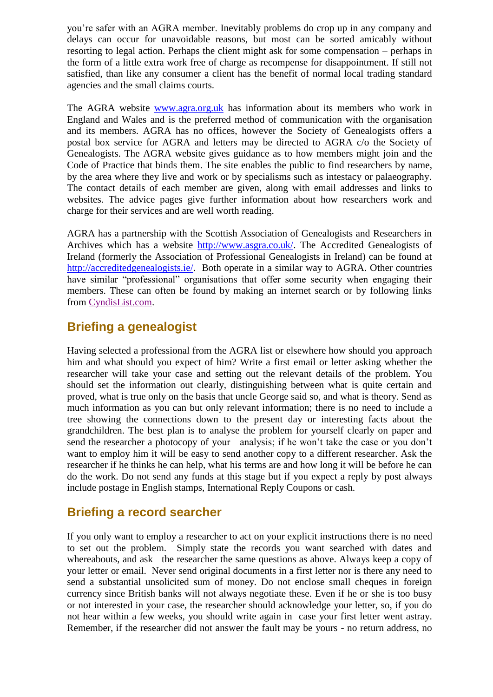you're safer with an AGRA member. Inevitably problems do crop up in any company and delays can occur for unavoidable reasons, but most can be sorted amicably without resorting to legal action. Perhaps the client might ask for some compensation – perhaps in the form of a little extra work free of charge as recompense for disappointment. If still not satisfied, than like any consumer a client has the benefit of normal local trading standard agencies and the small claims courts.

The AGRA website [www.agra.org.uk](http://www.agra.org.uk/) has information about its members who work in England and Wales and is the preferred method of communication with the organisation and its members. AGRA has no offices, however the Society of Genealogists offers a postal box service for AGRA and letters may be directed to AGRA c/o the Society of Genealogists. The AGRA website gives guidance as to how members might join and the Code of Practice that binds them. The site enables the public to find researchers by name, by the area where they live and work or by specialisms such as intestacy or palaeography. The contact details of each member are given, along with email addresses and links to websites. The advice pages give further information about how researchers work and charge for their services and are well worth reading.

AGRA has a partnership with the Scottish Association of Genealogists and Researchers in Archives which has a website [http://www.asgra.co.uk/.](http://www.asgra.co.uk/) The Accredited Genealogists of Ireland (formerly the Association of Professional Genealogists in Ireland) can be found at [http://accreditedgenealogists.ie/.](http://accreditedgenealogists.ie/) Both operate in a similar way to AGRA. Other countries have similar "professional" organisations that offer some security when engaging their members. These can often be found by making an internet search or by following links from [CyndisList.com.](http://www.cyndislist.com/)

## **Briefing a genealogist**

Having selected a professional from the AGRA list or elsewhere how should you approach him and what should you expect of him? Write a first email or letter asking whether the researcher will take your case and setting out the relevant details of the problem. You should set the information out clearly, distinguishing between what is quite certain and proved, what is true only on the basis that uncle George said so, and what is theory. Send as much information as you can but only relevant information; there is no need to include a tree showing the connections down to the present day or interesting facts about the grandchildren. The best plan is to analyse the problem for yourself clearly on paper and send the researcher a photocopy of your analysis; if he won't take the case or you don't want to employ him it will be easy to send another copy to a different researcher. Ask the researcher if he thinks he can help, what his terms are and how long it will be before he can do the work. Do not send any funds at this stage but if you expect a reply by post always include postage in English stamps, International Reply Coupons or cash.

## **Briefing a record searcher**

If you only want to employ a researcher to act on your explicit instructions there is no need to set out the problem. Simply state the records you want searched with dates and whereabouts, and ask the researcher the same questions as above. Always keep a copy of your letter or email. Never send original documents in a first letter nor is there any need to send a substantial unsolicited sum of money. Do not enclose small cheques in foreign currency since British banks will not always negotiate these. Even if he or she is too busy or not interested in your case, the researcher should acknowledge your letter, so, if you do not hear within a few weeks, you should write again in case your first letter went astray. Remember, if the researcher did not answer the fault may be yours - no return address, no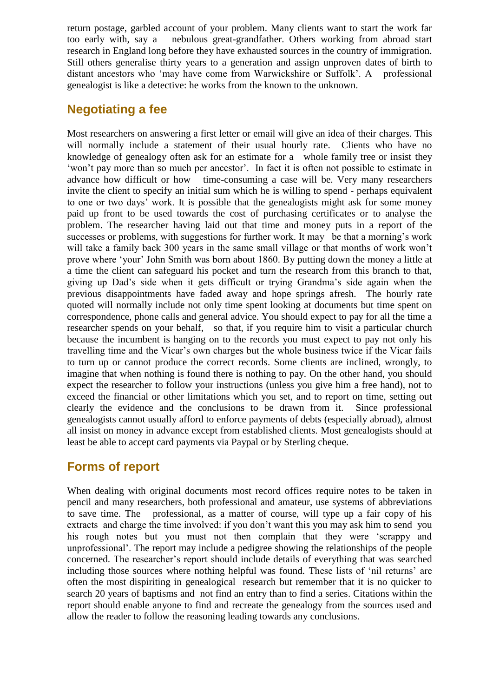return postage, garbled account of your problem. Many clients want to start the work far too early with, say a nebulous great-grandfather. Others working from abroad start research in England long before they have exhausted sources in the country of immigration. Still others generalise thirty years to a generation and assign unproven dates of birth to distant ancestors who 'may have come from Warwickshire or Suffolk'. A professional genealogist is like a detective: he works from the known to the unknown.

## **Negotiating a fee**

Most researchers on answering a first letter or email will give an idea of their charges. This will normally include a statement of their usual hourly rate. Clients who have no knowledge of genealogy often ask for an estimate for a whole family tree or insist they 'won't pay more than so much per ancestor'. In fact it is often not possible to estimate in advance how difficult or how time-consuming a case will be. Very many researchers invite the client to specify an initial sum which he is willing to spend - perhaps equivalent to one or two days' work. It is possible that the genealogists might ask for some money paid up front to be used towards the cost of purchasing certificates or to analyse the problem. The researcher having laid out that time and money puts in a report of the successes or problems, with suggestions for further work. It may be that a morning's work will take a family back 300 years in the same small village or that months of work won't prove where 'your' John Smith was born about 1860. By putting down the money a little at a time the client can safeguard his pocket and turn the research from this branch to that, giving up Dad's side when it gets difficult or trying Grandma's side again when the previous disappointments have faded away and hope springs afresh. The hourly rate quoted will normally include not only time spent looking at documents but time spent on correspondence, phone calls and general advice. You should expect to pay for all the time a researcher spends on your behalf, so that, if you require him to visit a particular church because the incumbent is hanging on to the records you must expect to pay not only his travelling time and the Vicar's own charges but the whole business twice if the Vicar fails to turn up or cannot produce the correct records. Some clients are inclined, wrongly, to imagine that when nothing is found there is nothing to pay. On the other hand, you should expect the researcher to follow your instructions (unless you give him a free hand), not to exceed the financial or other limitations which you set, and to report on time, setting out clearly the evidence and the conclusions to be drawn from it. Since professional genealogists cannot usually afford to enforce payments of debts (especially abroad), almost all insist on money in advance except from established clients. Most genealogists should at least be able to accept card payments via Paypal or by Sterling cheque.

#### **Forms of report**

When dealing with original documents most record offices require notes to be taken in pencil and many researchers, both professional and amateur, use systems of abbreviations to save time. The professional, as a matter of course, will type up a fair copy of his extracts and charge the time involved: if you don't want this you may ask him to send you his rough notes but you must not then complain that they were 'scrappy and unprofessional'. The report may include a pedigree showing the relationships of the people concerned. The researcher's report should include details of everything that was searched including those sources where nothing helpful was found. These lists of 'nil returns' are often the most dispiriting in genealogical research but remember that it is no quicker to search 20 years of baptisms and not find an entry than to find a series. Citations within the report should enable anyone to find and recreate the genealogy from the sources used and allow the reader to follow the reasoning leading towards any conclusions.